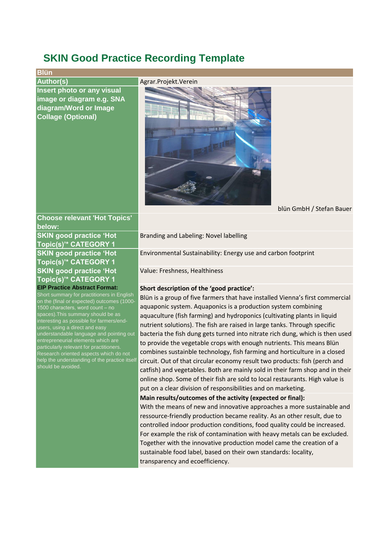# **SKIN Good Practice Recording Template**

# **Blün**

**Author(s)** Agrar.Projekt.Verein **Insert photo or any visual image or diagram e.g. SNA diagram/Word or Image Collage (Optional)**



#### blün GmbH / Stefan Bauer

# **Choose relevant 'Hot Topics' below:**

**SKIN good practice 'Hot Topic(s)'\* CATEGORY 1 SKIN good practice 'Hot Topic(s)'\* CATEGORY 1 SKIN good practice 'Hot Topic(s)'\* CATEGORY 1 EIP Practice Abstract Format:**

Short summary for practitioners in English on the (final or expected) outcomes (1000- 1500 characters, word count – no spaces).This summary should be as interesting as possible for farmers/endusers, using a direct and easy understandable language and pointing out entrepreneurial elements which are particularly relevant for practitioners. Research oriented aspects which do not help the understanding of the practice itself should be avoided.

Branding and Labeling: Novel labelling

Environmental Sustainability: Energy use and carbon footprint

Value: Freshness, Healthiness

## **Short description of the 'good practice':**

Blün is a group of five farmers that have installed Vienna's first commercial aquaponic system. Aquaponics is a production system combining aquaculture (fish farming) and hydroponics (cultivating plants in liquid nutrient solutions). The fish are raised in large tanks. Through specific bacteria the fish dung gets turned into nitrate rich dung, which is then used to provide the vegetable crops with enough nutrients. This means Blün combines sustainble technology, fish farming and horticulture in a closed circuit. Out of that circular economy result two products: fish (perch and catfish) and vegetables. Both are mainly sold in their farm shop and in their online shop. Some of their fish are sold to local restaurants. High value is put on a clear division of responsibilities and on marketing.

**Main results/outcomes of the activity (expected or final):**

With the means of new and innovative approaches a more sustainable and ressource-friendly production became reality. As an other result, due to controlled indoor production conditions, food quality could be increased. For example the risk of contamination with heavy metals can be excluded. Together with the innovative production model came the creation of a sustainable food label, based on their own standards: locality, transparency and ecoefficiency.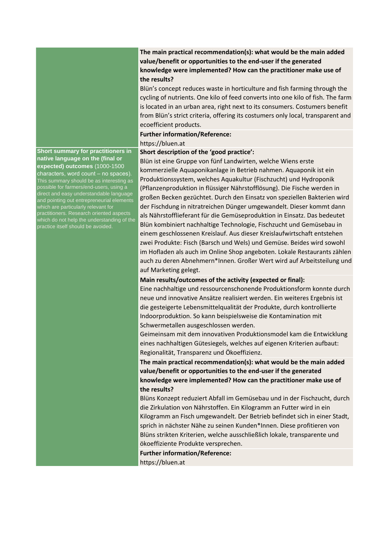

**Short summary for practitioners in native language on the (final or expected) outcomes** (1000-1500 characters, word count – no spaces). This summary should be as interesting as possible for farmers/end-users, using a direct and easy understandable language and pointing out entrepreneurial elements which are particularly relevant for practitioners. Research oriented aspects which do not help the understanding of the practice itself should be avoided.

# **The main practical recommendation(s): what would be the main added value/benefit or opportunities to the end-user if the generated knowledge were implemented? How can the practitioner make use of the results?**

Blün's concept reduces waste in horticulture and fish farming through the cycling of nutrients. One kilo of feed converts into one kilo of fish. The farm is located in an urban area, right next to its consumers. Costumers benefit from Blün's strict criteria, offering its costumers only local, transparent and ecoefficient products.

### **Further information/Reference:**

## https://bluen.at

# **Short description of the 'good practice':**

Blün ist eine Gruppe von fünf Landwirten, welche Wiens erste kommerzielle Aquaponikanlage in Betrieb nahmen. Aquaponik ist ein Produktionssystem, welches Aquakultur (Fischzucht) und Hydroponik (Pflanzenproduktion in flüssiger Nährstofflösung). Die Fische werden in großen Becken gezüchtet. Durch den Einsatz von speziellen Bakterien wird der Fischdung in nitratreichen Dünger umgewandelt. Dieser kommt dann als Nährstofflieferant für die Gemüseproduktion in Einsatz. Das bedeutet Blün kombiniert nachhaltige Technologie, Fischzucht und Gemüsebau in einem geschlossenen Kreislauf. Aus dieser Kreislaufwirtschaft entstehen zwei Produkte: Fisch (Barsch und Wels) und Gemüse. Beides wird sowohl im Hofladen als auch im Online Shop angeboten. Lokale Restaurants zählen auch zu deren Abnehmern\*Innen. Großer Wert wird auf Arbeitsteilung und auf Marketing gelegt.

# **Main results/outcomes of the activity (expected or final):**

Eine nachhaltige und ressourcenschonende Produktionsform konnte durch neue und innovative Ansätze realisiert werden. Ein weiteres Ergebnis ist die gesteigerte Lebensmittelqualität der Produkte, durch kontrollierte Indoorproduktion. So kann beispielsweise die Kontamination mit Schwermetallen ausgeschlossen werden.

Geimeinsam mit dem innovativen Produktionsmodel kam die Entwicklung eines nachhaltigen Gütesiegels, welches auf eigenen Kriterien aufbaut: Regionalität, Transparenz und Ökoeffizienz.

**The main practical recommendation(s): what would be the main added value/benefit or opportunities to the end-user if the generated knowledge were implemented? How can the practitioner make use of the results?**

Blüns Konzept reduziert Abfall im Gemüsebau und in der Fischzucht, durch die Zirkulation von Nährstoffen. Ein Kilogramm an Futter wird in ein Kilogramm an Fisch umgewandelt. Der Betrieb befindet sich in einer Stadt, sprich in nächster Nähe zu seinen Kunden\*Innen. Diese profitieren von Blüns strikten Kriterien, welche ausschließlich lokale, transparente und ökoeffiziente Produkte versprechen.

**Further information/Reference:** https://bluen.at